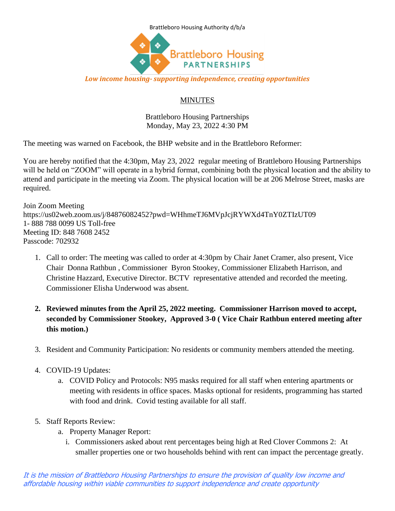

## *Low income housing- supporting independence, creating opportunities*

## **MINUTES**

Brattleboro Housing Partnerships Monday, May 23, 2022 4:30 PM

The meeting was warned on Facebook, the BHP website and in the Brattleboro Reformer:

You are hereby notified that the 4:30pm, May 23, 2022 regular meeting of Brattleboro Housing Partnerships will be held on "ZOOM" will operate in a hybrid format, combining both the physical location and the ability to attend and participate in the meeting via Zoom. The physical location will be at 206 Melrose Street, masks are required.

Join Zoom Meeting https://us02web.zoom.us/j/84876082452?pwd=WHhmeTJ6MVpJcjRYWXd4TnY0ZTIzUT09 1- 888 788 0099 US Toll-free Meeting ID: 848 7608 2452 Passcode: 702932

- 1. Call to order: The meeting was called to order at 4:30pm by Chair Janet Cramer, also present, Vice Chair Donna Rathbun , Commissioner Byron Stookey, Commissioner Elizabeth Harrison, and Christine Hazzard, Executive Director. BCTV representative attended and recorded the meeting. Commissioner Elisha Underwood was absent.
- **2. Reviewed minutes from the April 25, 2022 meeting. Commissioner Harrison moved to accept, seconded by Commissioner Stookey, Approved 3-0 ( Vice Chair Rathbun entered meeting after this motion.)**
- 3. Resident and Community Participation: No residents or community members attended the meeting.
- 4. COVID-19 Updates:
	- a. COVID Policy and Protocols: N95 masks required for all staff when entering apartments or meeting with residents in office spaces. Masks optional for residents, programming has started with food and drink. Covid testing available for all staff.
- 5. Staff Reports Review:
	- a. Property Manager Report:
		- i. Commissioners asked about rent percentages being high at Red Clover Commons 2: At smaller properties one or two households behind with rent can impact the percentage greatly.

It is the mission of Brattleboro Housing Partnerships to ensure the provision of quality low income and affordable housing within viable communities to support independence and create opportunity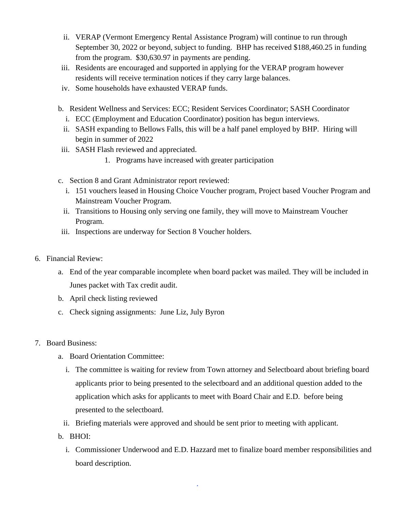- ii. VERAP (Vermont Emergency Rental Assistance Program) will continue to run through September 30, 2022 or beyond, subject to funding. BHP has received \$188,460.25 in funding from the program. \$30,630.97 in payments are pending.
- iii. Residents are encouraged and supported in applying for the VERAP program however residents will receive termination notices if they carry large balances.
- iv. Some households have exhausted VERAP funds.
- b. Resident Wellness and Services: ECC; Resident Services Coordinator; SASH Coordinator
	- i. ECC (Employment and Education Coordinator) position has begun interviews.
	- ii. SASH expanding to Bellows Falls, this will be a half panel employed by BHP. Hiring will begin in summer of 2022
- iii. SASH Flash reviewed and appreciated.
	- 1. Programs have increased with greater participation
- c. Section 8 and Grant Administrator report reviewed:
	- i. 151 vouchers leased in Housing Choice Voucher program, Project based Voucher Program and Mainstream Voucher Program.
	- ii. Transitions to Housing only serving one family, they will move to Mainstream Voucher Program.
- iii. Inspections are underway for Section 8 Voucher holders.
- 6. Financial Review:
	- a. End of the year comparable incomplete when board packet was mailed. They will be included in Junes packet with Tax credit audit.
	- b. April check listing reviewed
	- c. Check signing assignments: June Liz, July Byron
- 7. Board Business:
	- a. Board Orientation Committee:
		- i. The committee is waiting for review from Town attorney and Selectboard about briefing board applicants prior to being presented to the selectboard and an additional question added to the application which asks for applicants to meet with Board Chair and E.D. before being presented to the selectboard.
		- ii. Briefing materials were approved and should be sent prior to meeting with applicant.
	- b. BHOI:
		- i. Commissioner Underwood and E.D. Hazzard met to finalize board member responsibilities and board description.